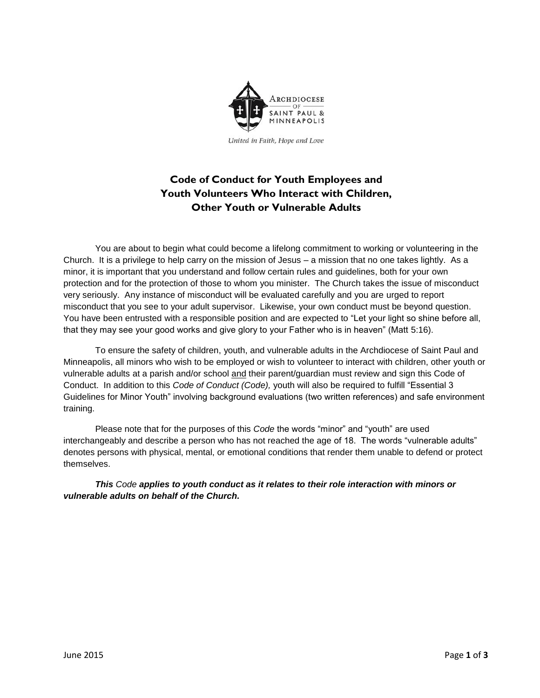

United in Faith, Hope and Love

## **Code of Conduct for Youth Employees and Youth Volunteers Who Interact with Children, Other Youth or Vulnerable Adults**

You are about to begin what could become a lifelong commitment to working or volunteering in the Church. It is a privilege to help carry on the mission of Jesus – a mission that no one takes lightly. As a minor, it is important that you understand and follow certain rules and guidelines, both for your own protection and for the protection of those to whom you minister. The Church takes the issue of misconduct very seriously. Any instance of misconduct will be evaluated carefully and you are urged to report misconduct that you see to your adult supervisor. Likewise, your own conduct must be beyond question. You have been entrusted with a responsible position and are expected to "Let your light so shine before all, that they may see your good works and give glory to your Father who is in heaven" (Matt 5:16).

To ensure the safety of children, youth, and vulnerable adults in the Archdiocese of Saint Paul and Minneapolis, all minors who wish to be employed or wish to volunteer to interact with children, other youth or vulnerable adults at a parish and/or school and their parent/guardian must review and sign this Code of Conduct. In addition to this *Code of Conduct (Code),* youth will also be required to fulfill "Essential 3 Guidelines for Minor Youth" involving background evaluations (two written references) and safe environment training.

Please note that for the purposes of this *Code* the words "minor" and "youth" are used interchangeably and describe a person who has not reached the age of 18. The words "vulnerable adults" denotes persons with physical, mental, or emotional conditions that render them unable to defend or protect themselves.

*This Code applies to youth conduct as it relates to their role interaction with minors or vulnerable adults on behalf of the Church.*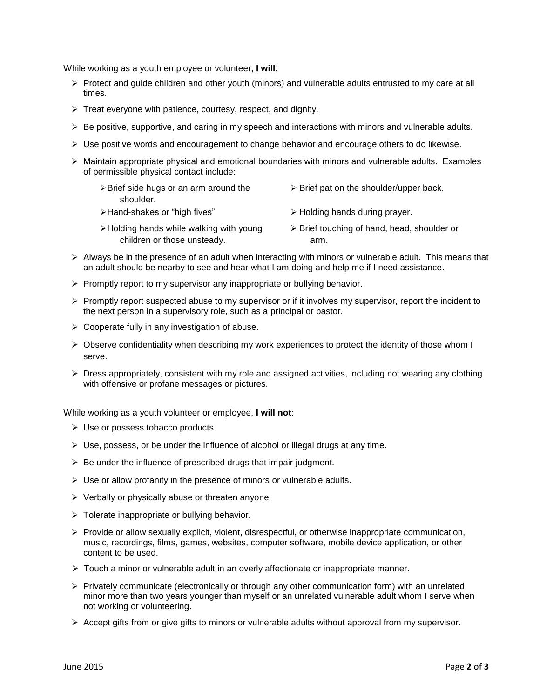While working as a youth employee or volunteer, **I will**:

- $\triangleright$  Protect and guide children and other youth (minors) and vulnerable adults entrusted to my care at all times.
- $\triangleright$  Treat everyone with patience, courtesy, respect, and dignity.
- $\triangleright$  Be positive, supportive, and caring in my speech and interactions with minors and vulnerable adults.
- $\triangleright$  Use positive words and encouragement to change behavior and encourage others to do likewise.
- $\triangleright$  Maintain appropriate physical and emotional boundaries with minors and vulnerable adults. Examples of permissible physical contact include:

| $\triangleright$ Brief side hugs or an arm around the | $\triangleright$ Brief pat on the shoulder/upper back.     |
|-------------------------------------------------------|------------------------------------------------------------|
| shoulder.                                             |                                                            |
| >Hand-shakes or "high fives"                          | $\triangleright$ Holding hands during prayer.              |
| >Holding hands while walking with young               | $\triangleright$ Brief touching of hand, head, shoulder or |
| children or those unsteady.                           | arm.                                                       |

- $\triangleright$  Always be in the presence of an adult when interacting with minors or vulnerable adult. This means that an adult should be nearby to see and hear what I am doing and help me if I need assistance.
- $\triangleright$  Promptly report to my supervisor any inappropriate or bullying behavior.
- $\triangleright$  Promptly report suspected abuse to my supervisor or if it involves my supervisor, report the incident to the next person in a supervisory role, such as a principal or pastor.
- $\triangleright$  Cooperate fully in any investigation of abuse.
- $\triangleright$  Observe confidentiality when describing my work experiences to protect the identity of those whom I serve.
- $\triangleright$  Dress appropriately, consistent with my role and assigned activities, including not wearing any clothing with offensive or profane messages or pictures.

While working as a youth volunteer or employee, **I will not**:

- $\triangleright$  Use or possess tobacco products.
- $\triangleright$  Use, possess, or be under the influence of alcohol or illegal drugs at any time.
- $\triangleright$  Be under the influence of prescribed drugs that impair judgment.
- $\triangleright$  Use or allow profanity in the presence of minors or vulnerable adults.
- $\triangleright$  Verbally or physically abuse or threaten anyone.
- $\triangleright$  Tolerate inappropriate or bullying behavior.
- $\triangleright$  Provide or allow sexually explicit, violent, disrespectful, or otherwise inappropriate communication, music, recordings, films, games, websites, computer software, mobile device application, or other content to be used.
- $\triangleright$  Touch a minor or vulnerable adult in an overly affectionate or inappropriate manner.
- $\triangleright$  Privately communicate (electronically or through any other communication form) with an unrelated minor more than two years younger than myself or an unrelated vulnerable adult whom I serve when not working or volunteering.
- $\triangleright$  Accept gifts from or give gifts to minors or vulnerable adults without approval from my supervisor.